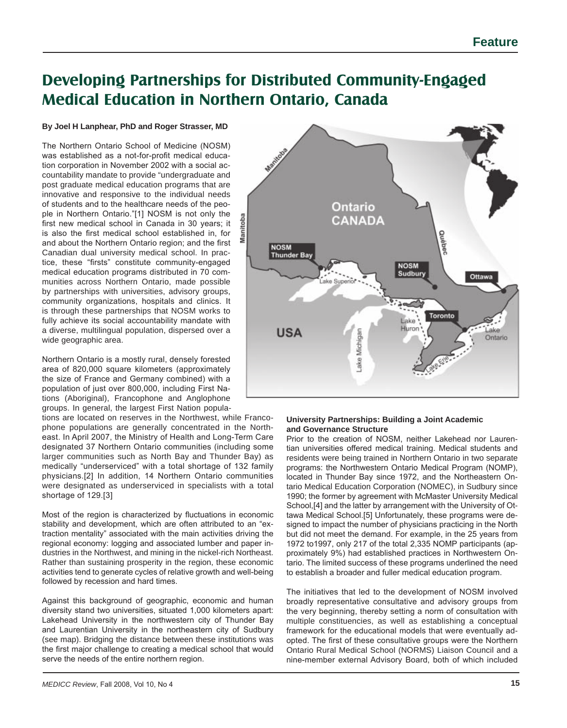# **Developing Partnerships for Distributed Community-Engaged Medical Education in Northern Ontario, Canada**

Manitoba

## **By Joel H Lanphear, PhD and Roger Strasser, MD**

The Northern Ontario School of Medicine (NOSM) was established as a not-for-profit medical education corporation in November 2002 with a social accountability mandate to provide "undergraduate and post graduate medical education programs that are innovative and responsive to the individual needs of students and to the healthcare needs of the people in Northern Ontario."[1] NOSM is not only the first new medical school in Canada in 30 years; it is also the first medical school established in, for and about the Northern Ontario region; and the first Canadian dual university medical school. In practice, these "firsts" constitute community-engaged medical education programs distributed in 70 communities across Northern Ontario, made possible by partnerships with universities, advisory groups, community organizations, hospitals and clinics. It is through these partnerships that NOSM works to fully achieve its social accountability mandate with a diverse, multilingual population, dispersed over a wide geographic area.

Northern Ontario is a mostly rural, densely forested area of 820,000 square kilometers (approximately the size of France and Germany combined) with a population of just over 800,000, including First Nations (Aboriginal), Francophone and Anglophone groups. In general, the largest First Nation popula-

tions are located on reserves in the Northwest, while Francophone populations are generally concentrated in the Northeast. In April 2007, the Ministry of Health and Long-Term Care designated 37 Northern Ontario communities (including some larger communities such as North Bay and Thunder Bay) as medically "underserviced" with a total shortage of 132 family physicians.[2] In addition, 14 Northern Ontario communities were designated as underserviced in specialists with a total shortage of 129.[3]

Most of the region is characterized by fluctuations in economic stability and development, which are often attributed to an "extraction mentality" associated with the main activities driving the regional economy: logging and associated lumber and paper industries in the Northwest, and mining in the nickel-rich Northeast. Rather than sustaining prosperity in the region, these economic activities tend to generate cycles of relative growth and well-being followed by recession and hard times.

Against this background of geographic, economic and human diversity stand two universities, situated 1,000 kilometers apart: Lakehead University in the northwestern city of Thunder Bay and Laurentian University in the northeastern city of Sudbury (see map). Bridging the distance between these institutions was the first major challenge to creating a medical school that would serve the needs of the entire northern region.



The initiatives that led to the development of NOSM involved broadly representative consultative and advisory groups from the very beginning, thereby setting a norm of consultation with multiple constituencies, as well as establishing a conceptual framework for the educational models that were eventually adopted. The first of these consultative groups were the Northern Ontario Rural Medical School (NORMS) Liaison Council and a nine-member external Advisory Board, both of which included

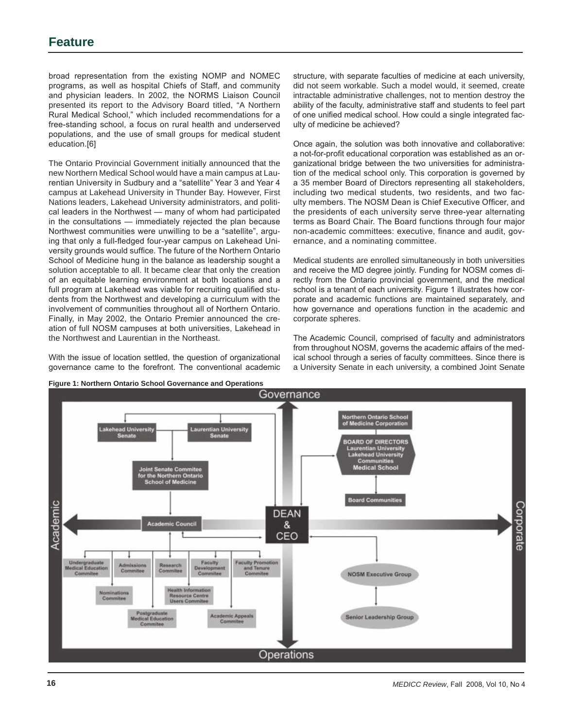broad representation from the existing NOMP and NOMEC programs, as well as hospital Chiefs of Staff, and community and physician leaders. In 2002, the NORMS Liaison Council presented its report to the Advisory Board titled, "A Northern Rural Medical School," which included recommendations for a free-standing school, a focus on rural health and underserved populations, and the use of small groups for medical student education.[6]

The Ontario Provincial Government initially announced that the new Northern Medical School would have a main campus at Laurentian University in Sudbury and a "satellite" Year 3 and Year 4 campus at Lakehead University in Thunder Bay. However, First Nations leaders, Lakehead University administrators, and political leaders in the Northwest — many of whom had participated in the consultations — immediately rejected the plan because Northwest communities were unwilling to be a "satellite", arguing that only a full-fledged four-year campus on Lakehead University grounds would suffice. The future of the Northern Ontario School of Medicine hung in the balance as leadership sought a solution acceptable to all. It became clear that only the creation of an equitable learning environment at both locations and a full program at Lakehead was viable for recruiting qualified students from the Northwest and developing a curriculum with the involvement of communities throughout all of Northern Ontario. Finally, in May 2002, the Ontario Premier announced the creation of full NOSM campuses at both universities, Lakehead in the Northwest and Laurentian in the Northeast.

With the issue of location settled, the question of organizational governance came to the forefront. The conventional academic structure, with separate faculties of medicine at each university, did not seem workable. Such a model would, it seemed, create intractable administrative challenges, not to mention destroy the ability of the faculty, administrative staff and students to feel part of one unified medical school. How could a single integrated faculty of medicine be achieved?

Once again, the solution was both innovative and collaborative: a not-for-profit educational corporation was established as an organizational bridge between the two universities for administration of the medical school only. This corporation is governed by a 35 member Board of Directors representing all stakeholders, including two medical students, two residents, and two faculty members. The NOSM Dean is Chief Executive Officer, and the presidents of each university serve three-year alternating terms as Board Chair. The Board functions through four major non-academic committees: executive, finance and audit, governance, and a nominating committee.

Medical students are enrolled simultaneously in both universities and receive the MD degree jointly. Funding for NOSM comes directly from the Ontario provincial government, and the medical school is a tenant of each university. Figure 1 illustrates how corporate and academic functions are maintained separately, and how governance and operations function in the academic and corporate spheres.

The Academic Council, comprised of faculty and administrators from throughout NOSM, governs the academic affairs of the medical school through a series of faculty committees. Since there is a University Senate in each university, a combined Joint Senate

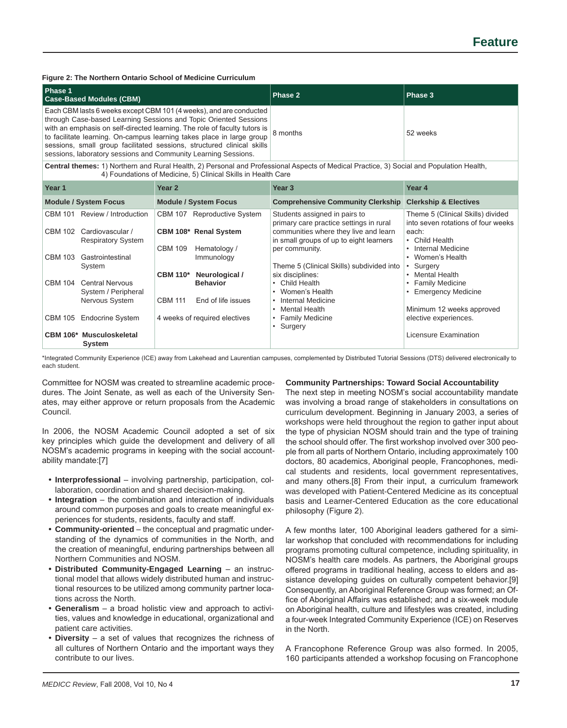#### **Figure 2: The Northern Ontario School of Medicine Curriculum**

| Phase 1<br><b>Case-Based Modules (CBM)</b>                                                                                                                                                                                                                                                                                                                                                                                                              | Phase 2 | Phase 3  |  |  |  |
|---------------------------------------------------------------------------------------------------------------------------------------------------------------------------------------------------------------------------------------------------------------------------------------------------------------------------------------------------------------------------------------------------------------------------------------------------------|---------|----------|--|--|--|
| Each CBM lasts 6 weeks except CBM 101 (4 weeks), and are conducted<br>through Case-based Learning Sessions and Topic Oriented Sessions<br>with an emphasis on self-directed learning. The role of faculty tutors is 8 months to facilitate learning. On-campus learning takes place in large group 8 months<br>sessions, small group facilitated sessions, structured clinical skills<br>sessions, laboratory sessions and Community Learning Sessions. |         | 52 weeks |  |  |  |
| Central themes: 1) Northern and Rural Health, 2) Personal and Professional Aspects of Medical Practice, 3) Social and Population Health,<br>4) Foundations of Medicine, 5) Clinical Skills in Health Care                                                                                                                                                                                                                                               |         |          |  |  |  |
|                                                                                                                                                                                                                                                                                                                                                                                                                                                         |         |          |  |  |  |

| Year 1                       |                                               | Year 2                        |                            | Year <sub>3</sub>                                                                | Year 4                                                                  |
|------------------------------|-----------------------------------------------|-------------------------------|----------------------------|----------------------------------------------------------------------------------|-------------------------------------------------------------------------|
| <b>Module / System Focus</b> |                                               | <b>Module / System Focus</b>  |                            | <b>Comprehensive Community Clerkship</b>                                         | <b>Clerkship &amp; Electives</b>                                        |
| <b>CBM 101</b>               | Review / Introduction                         | <b>CBM 107</b>                | Reproductive System        | Students assigned in pairs to<br>primary care practice settings in rural         | Theme 5 (Clinical Skills) divided<br>into seven rotations of four weeks |
| CBM 102                      | Cardiovascular /<br><b>Respiratory System</b> |                               | CBM 108* Renal System      | communities where they live and learn<br>in small groups of up to eight learners | each:<br>• Child Health                                                 |
| <b>CBM 103</b>               | Gastrointestinal                              | <b>CBM 109</b>                | Hematology /<br>Immunology | per community.                                                                   | Internal Medicine<br>$\bullet$<br>• Women's Health                      |
|                              | System                                        | <b>CBM 110*</b>               | Neurological /             | Theme 5 (Clinical Skills) subdivided into<br>six disciplines:                    | Surgery<br><b>Mental Health</b>                                         |
| <b>CBM 104</b>               | <b>Central Nervous</b><br>System / Peripheral |                               | <b>Behavior</b>            | • Child Health<br>Women's Health                                                 | <b>Family Medicine</b><br>$\bullet$<br><b>Emergency Medicine</b>        |
|                              | Nervous System                                | <b>CBM 111</b>                | End of life issues         | • Internal Medicine<br>Mental Health                                             | Minimum 12 weeks approved                                               |
| CBM 105                      | <b>Endocrine System</b>                       | 4 weeks of required electives |                            | • Family Medicine<br>Surgery                                                     | elective experiences.                                                   |
| <b>CBM 106*</b>              | Musculoskeletal<br><b>System</b>              |                               |                            |                                                                                  | Licensure Examination                                                   |

\*Integrated Community Experience (ICE) away from Lakehead and Laurentian campuses, complemented by Distributed Tutorial Sessions (DTS) delivered electronically to each student.

Committee for NOSM was created to streamline academic procedures. The Joint Senate, as well as each of the University Senates, may either approve or return proposals from the Academic Council.

In 2006, the NOSM Academic Council adopted a set of six key principles which guide the development and delivery of all NOSM's academic programs in keeping with the social accountability mandate:[7]

- **• Interprofessional** involving partnership, participation, collaboration, coordination and shared decision-making.
- **• Integration** the combination and interaction of individuals around common purposes and goals to create meaningful experiences for students, residents, faculty and staff.
- **• Community-oriented** the conceptual and pragmatic understanding of the dynamics of communities in the North, and the creation of meaningful, enduring partnerships between all Northern Communities and NOSM.
- **• Distributed Community-Engaged Learning** an instructional model that allows widely distributed human and instructional resources to be utilized among community partner locations across the North.
- **• Generalism** a broad holistic view and approach to activities, values and knowledge in educational, organizational and patient care activities.
- **• Diversity** a set of values that recognizes the richness of all cultures of Northern Ontario and the important ways they contribute to our lives.

### **Community Partnerships: Toward Social Accountability**

The next step in meeting NOSM's social accountability mandate was involving a broad range of stakeholders in consultations on curriculum development. Beginning in January 2003, a series of workshops were held throughout the region to gather input about the type of physician NOSM should train and the type of training the school should offer. The first workshop involved over 300 people from all parts of Northern Ontario, including approximately 100 doctors, 80 academics, Aboriginal people, Francophones, medical students and residents, local government representatives, and many others.[8] From their input, a curriculum framework was developed with Patient-Centered Medicine as its conceptual basis and Learner-Centered Education as the core educational philosophy (Figure 2).

A few months later, 100 Aboriginal leaders gathered for a similar workshop that concluded with recommendations for including programs promoting cultural competence, including spirituality, in NOSM's health care models. As partners, the Aboriginal groups offered programs in traditional healing, access to elders and assistance developing guides on culturally competent behavior.[9] Consequently, an Aboriginal Reference Group was formed; an Office of Aboriginal Affairs was established; and a six-week module on Aboriginal health, culture and lifestyles was created, including a four-week Integrated Community Experience (ICE) on Reserves in the North.

A Francophone Reference Group was also formed. In 2005, 160 participants attended a workshop focusing on Francophone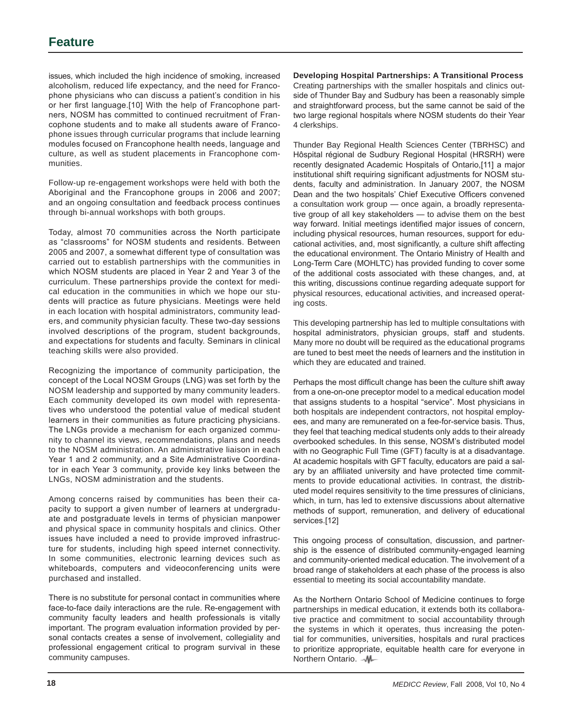issues, which included the high incidence of smoking, increased alcoholism, reduced life expectancy, and the need for Francophone physicians who can discuss a patient's condition in his or her first language.[10] With the help of Francophone partners, NOSM has committed to continued recruitment of Francophone students and to make all students aware of Francophone issues through curricular programs that include learning modules focused on Francophone health needs, language and culture, as well as student placements in Francophone communities.

Follow-up re-engagement workshops were held with both the Aboriginal and the Francophone groups in 2006 and 2007; and an ongoing consultation and feedback process continues through bi-annual workshops with both groups.

Today, almost 70 communities across the North participate as "classrooms" for NOSM students and residents. Between 2005 and 2007, a somewhat different type of consultation was carried out to establish partnerships with the communities in which NOSM students are placed in Year 2 and Year 3 of the curriculum. These partnerships provide the context for medical education in the communities in which we hope our students will practice as future physicians. Meetings were held in each location with hospital administrators, community leaders, and community physician faculty. These two-day sessions involved descriptions of the program, student backgrounds, and expectations for students and faculty. Seminars in clinical teaching skills were also provided.

Recognizing the importance of community participation, the concept of the Local NOSM Groups (LNG) was set forth by the NOSM leadership and supported by many community leaders. Each community developed its own model with representatives who understood the potential value of medical student learners in their communities as future practicing physicians. The LNGs provide a mechanism for each organized community to channel its views, recommendations, plans and needs to the NOSM administration. An administrative liaison in each Year 1 and 2 community, and a Site Administrative Coordinator in each Year 3 community, provide key links between the LNGs, NOSM administration and the students.

Among concerns raised by communities has been their capacity to support a given number of learners at undergraduate and postgraduate levels in terms of physician manpower and physical space in community hospitals and clinics. Other issues have included a need to provide improved infrastructure for students, including high speed internet connectivity. In some communities, electronic learning devices such as whiteboards, computers and videoconferencing units were purchased and installed.

There is no substitute for personal contact in communities where face-to-face daily interactions are the rule. Re-engagement with community faculty leaders and health professionals is vitally important. The program evaluation information provided by personal contacts creates a sense of involvement, collegiality and professional engagement critical to program survival in these community campuses.

**Developing Hospital Partnerships: A Transitional Process** Creating partnerships with the smaller hospitals and clinics outside of Thunder Bay and Sudbury has been a reasonably simple and straightforward process, but the same cannot be said of the two large regional hospitals where NOSM students do their Year 4 clerkships.

Thunder Bay Regional Health Sciences Center (TBRHSC) and Hôspital régional de Sudbury Regional Hospital (HRSRH) were recently designated Academic Hospitals of Ontario,[11] a major institutional shift requiring significant adjustments for NOSM students, faculty and administration. In January 2007, the NOSM Dean and the two hospitals' Chief Executive Officers convened a consultation work group — once again, a broadly representative group of all key stakeholders — to advise them on the best way forward. Initial meetings identified major issues of concern, including physical resources, human resources, support for educational activities, and, most significantly, a culture shift affecting the educational environment. The Ontario Ministry of Health and Long-Term Care (MOHLTC) has provided funding to cover some of the additional costs associated with these changes, and, at this writing, discussions continue regarding adequate support for physical resources, educational activities, and increased operating costs.

This developing partnership has led to multiple consultations with hospital administrators, physician groups, staff and students. Many more no doubt will be required as the educational programs are tuned to best meet the needs of learners and the institution in which they are educated and trained.

Perhaps the most difficult change has been the culture shift away from a one-on-one preceptor model to a medical education model that assigns students to a hospital "service". Most physicians in both hospitals are independent contractors, not hospital employees, and many are remunerated on a fee-for-service basis. Thus, they feel that teaching medical students only adds to their already overbooked schedules. In this sense, NOSM's distributed model with no Geographic Full Time (GFT) faculty is at a disadvantage. At academic hospitals with GFT faculty, educators are paid a salary by an affiliated university and have protected time commitments to provide educational activities. In contrast, the distributed model requires sensitivity to the time pressures of clinicians, which, in turn, has led to extensive discussions about alternative methods of support, remuneration, and delivery of educational services.[12]

This ongoing process of consultation, discussion, and partnership is the essence of distributed community-engaged learning and community-oriented medical education. The involvement of a broad range of stakeholders at each phase of the process is also essential to meeting its social accountability mandate.

As the Northern Ontario School of Medicine continues to forge partnerships in medical education, it extends both its collaborative practice and commitment to social accountability through the systems in which it operates, thus increasing the potential for communities, universities, hospitals and rural practices to prioritize appropriate, equitable health care for everyone in Northern Ontario. - M-